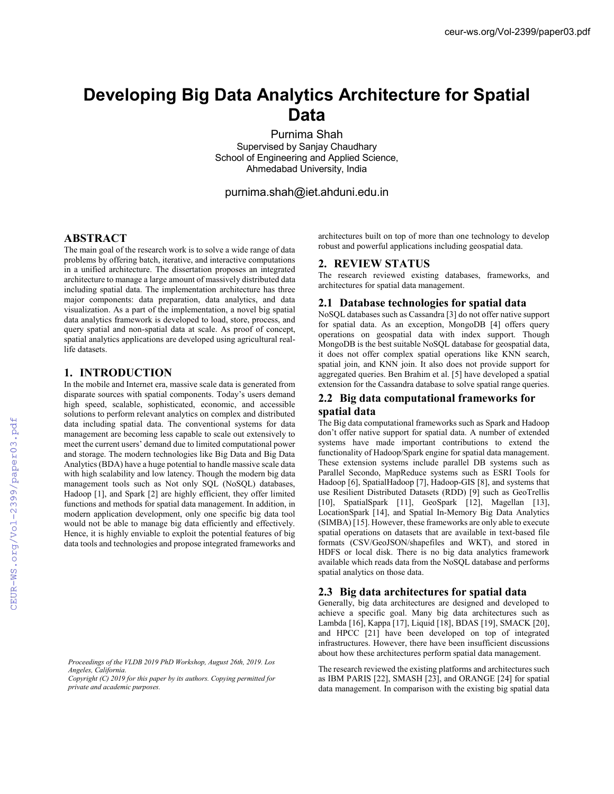# **Developing Big Data Analytics Architecture for Spatial Data**

Purnima Shah Supervised by Sanjay Chaudhary School of Engineering and Applied Science, Ahmedabad University, India

purnima.shah@iet.ahduni.edu.in

### **ABSTRACT**

The main goal of the research work is to solve a wide range of data problems by offering batch, iterative, and interactive computations in a unified architecture. The dissertation proposes an integrated architecture to manage a large amount of massively distributed data including spatial data. The implementation architecture has three major components: data preparation, data analytics, and data visualization. As a part of the implementation, a novel big spatial data analytics framework is developed to load, store, process, and query spatial and non-spatial data at scale. As proof of concept, spatial analytics applications are developed using agricultural reallife datasets.

#### **1. INTRODUCTION**

In the mobile and Internet era, massive scale data is generated from disparate sources with spatial components. Today's users demand high speed, scalable, sophisticated, economic, and accessible solutions to perform relevant analytics on complex and distributed data including spatial data. The conventional systems for data management are becoming less capable to scale out extensively to meet the current users' demand due to limited computational power and storage. The modern technologies like Big Data and Big Data Analytics (BDA) have a huge potential to handle massive scale data with high scalability and low latency. Though the modern big data management tools such as Not only SQL (NoSQL) databases, Hadoop [1], and Spark [2] are highly efficient, they offer limited functions and methods for spatial data management. In addition, in modern application development, only one specific big data tool would not be able to manage big data efficiently and effectively. Hence, it is highly enviable to exploit the potential features of big data tools and technologies and propose integrated frameworks and

architectures built on top of more than one technology to develop robust and powerful applications including geospatial data.

### **2. REVIEW STATUS**

The research reviewed existing databases, frameworks, and architectures for spatial data management.

### **2.1 Database technologies for spatial data**

NoSQL databases such as Cassandra [3] do not offer native support for spatial data. As an exception, MongoDB [4] offers query operations on geospatial data with index support. Though MongoDB is the best suitable NoSQL database for geospatial data, it does not offer complex spatial operations like KNN search, spatial join, and KNN join. It also does not provide support for aggregated queries. Ben Brahim et al. [5] have developed a spatial extension for the Cassandra database to solve spatial range queries.

## **2.2 Big data computational frameworks for**

### **spatial data**

The Big data computational frameworks such as Spark and Hadoop don't offer native support for spatial data. A number of extended systems have made important contributions to extend the functionality of Hadoop/Spark engine for spatial data management. These extension systems include parallel DB systems such as Parallel Secondo, MapReduce systems such as ESRI Tools for Hadoop [6], SpatialHadoop [7], Hadoop-GIS [8], and systems that use Resilient Distributed Datasets (RDD) [9] such as GeoTrellis [10], SpatialSpark [11], GeoSpark [12], Magellan [13], LocationSpark [14], and Spatial In-Memory Big Data Analytics (SIMBA) [15]. However, these frameworks are only able to execute spatial operations on datasets that are available in text-based file formats (CSV/GeoJSON/shapefiles and WKT), and stored in HDFS or local disk. There is no big data analytics framework available which reads data from the NoSQL database and performs spatial analytics on those data.

### **2.3 Big data architectures for spatial data**

Generally, big data architectures are designed and developed to achieve a specific goal. Many big data architectures such as Lambda [16], Kappa [17], Liquid [18], BDAS [19], SMACK [20], and HPCC [21] have been developed on top of integrated infrastructures. However, there have been insufficient discussions about how these architectures perform spatial data management.

The research reviewed the existing platforms and architectures such as IBM PARIS [22], SMASH [23], and ORANGE [24] for spatial data management. In comparison with the existing big spatial data

*Proceedings of the VLDB 2019 PhD Workshop, August 26th, 2019. Los Angeles, California.* 

*Copyright (C) 2019 for this paper by its authors. Copying permitted for private and academic purposes.*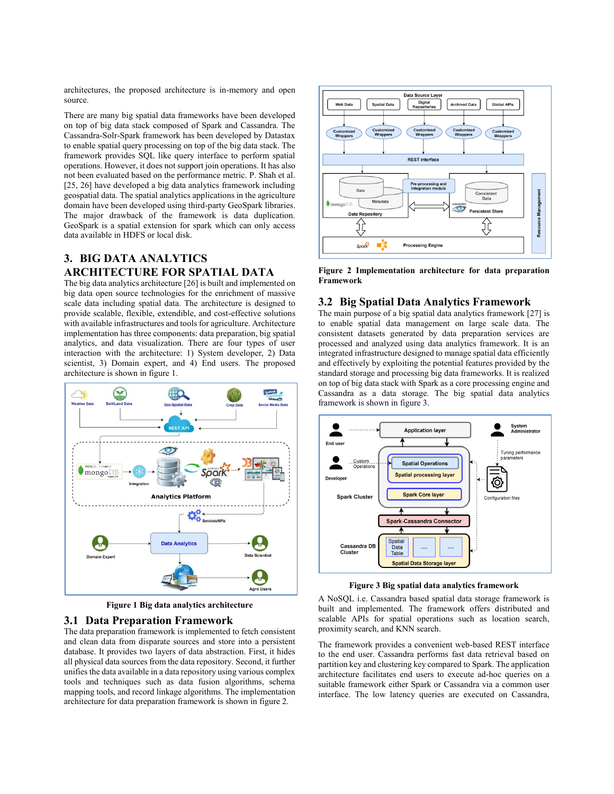architectures, the proposed architecture is in-memory and open source.

There are many big spatial data frameworks have been developed on top of big data stack composed of Spark and Cassandra. The Cassandra-Solr-Spark framework has been developed by Datastax to enable spatial query processing on top of the big data stack. The framework provides SQL like query interface to perform spatial operations. However, it does not support join operations. It has also not been evaluated based on the performance metric. P. Shah et al. [25, 26] have developed a big data analytics framework including geospatial data. The spatial analytics applications in the agriculture domain have been developed using third-party GeoSpark libraries. The major drawback of the framework is data duplication. GeoSpark is a spatial extension for spark which can only access data available in HDFS or local disk.

### **3. BIG DATA ANALYTICS ARCHITECTURE FOR SPATIAL DATA**

The big data analytics architecture [26] is built and implemented on big data open source technologies for the enrichment of massive scale data including spatial data. The architecture is designed to provide scalable, flexible, extendible, and cost-effective solutions with available infrastructures and tools for agriculture. Architecture implementation has three components: data preparation, big spatial analytics, and data visualization. There are four types of user interaction with the architecture: 1) System developer, 2) Data scientist, 3) Domain expert, and 4) End users. The proposed architecture is shown in figure 1.



**Figure 1 Big data analytics architecture**

### **3.1 Data Preparation Framework**

The data preparation framework is implemented to fetch consistent and clean data from disparate sources and store into a persistent database. It provides two layers of data abstraction. First, it hides all physical data sources from the data repository. Second, it further unifies the data available in a data repository using various complex tools and techniques such as data fusion algorithms, schema mapping tools, and record linkage algorithms. The implementation architecture for data preparation framework is shown in figure 2.



**Figure 2 Implementation architecture for data preparation Framework**

### **3.2 Big Spatial Data Analytics Framework**

The main purpose of a big spatial data analytics framework [27] is to enable spatial data management on large scale data. The consistent datasets generated by data preparation services are processed and analyzed using data analytics framework. It is an integrated infrastructure designed to manage spatial data efficiently and effectively by exploiting the potential features provided by the standard storage and processing big data frameworks. It is realized on top of big data stack with Spark as a core processing engine and Cassandra as a data storage. The big spatial data analytics framework is shown in figure 3.



**Figure 3 Big spatial data analytics framework**

A NoSQL i.e. Cassandra based spatial data storage framework is built and implemented. The framework offers distributed and scalable APIs for spatial operations such as location search, proximity search, and KNN search.

The framework provides a convenient web-based REST interface to the end user. Cassandra performs fast data retrieval based on partition key and clustering key compared to Spark. The application architecture facilitates end users to execute ad-hoc queries on a suitable framework either Spark or Cassandra via a common user interface. The low latency queries are executed on Cassandra,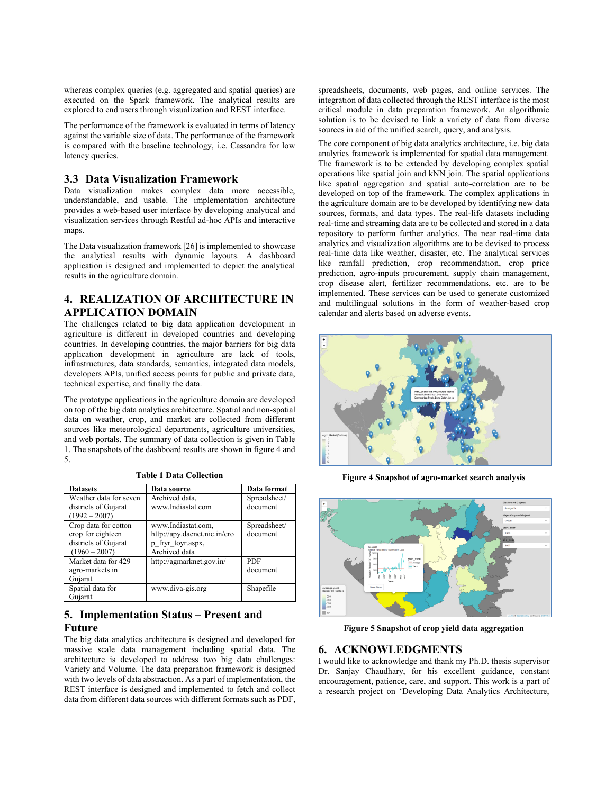whereas complex queries (e.g. aggregated and spatial queries) are executed on the Spark framework. The analytical results are explored to end users through visualization and REST interface.

The performance of the framework is evaluated in terms of latency against the variable size of data. The performance of the framework is compared with the baseline technology, i.e. Cassandra for low latency queries.

### **3.3 Data Visualization Framework**

Data visualization makes complex data more accessible, understandable, and usable. The implementation architecture provides a web-based user interface by developing analytical and visualization services through Restful ad-hoc APIs and interactive maps.

The Data visualization framework [26] is implemented to showcase the analytical results with dynamic layouts. A dashboard application is designed and implemented to depict the analytical results in the agriculture domain.

### **4. REALIZATION OF ARCHITECTURE IN APPLICATION DOMAIN**

The challenges related to big data application development in agriculture is different in developed countries and developing countries. In developing countries, the major barriers for big data application development in agriculture are lack of tools, infrastructures, data standards, semantics, integrated data models, developers APIs, unified access points for public and private data, technical expertise, and finally the data.

The prototype applications in the agriculture domain are developed on top of the big data analytics architecture. Spatial and non-spatial data on weather, crop, and market are collected from different sources like meteorological departments, agriculture universities, and web portals. The summary of data collection is given in Table 1. The snapshots of the dashboard results are shown in figure 4 and 5.

| <b>Datasets</b>        | Data source                  | Data format  |
|------------------------|------------------------------|--------------|
| Weather data for seven | Archived data.               | Spreadsheet/ |
| districts of Gujarat   | www.Indiastat.com            | document     |
| $(1992 - 2007)$        |                              |              |
| Crop data for cotton   | www.Indiastat.com.           | Spreadsheet/ |
| crop for eighteen      | http://apy.dacnet.nic.in/cro | document     |
| districts of Gujarat   | p fryr toyr.aspx,            |              |
| $(1960 - 2007)$        | Archived data                |              |
| Market data for 429    | http://agmarknet.gov.in/     | <b>PDF</b>   |
| agro-markets in        |                              | document     |
| Gujarat                |                              |              |
| Spatial data for       | www.diva-gis.org             | Shapefile    |
| Guiarat                |                              |              |

**Table 1 Data Collection**

### **5. Implementation Status – Present and Future**

The big data analytics architecture is designed and developed for massive scale data management including spatial data. The architecture is developed to address two big data challenges: Variety and Volume. The data preparation framework is designed with two levels of data abstraction. As a part of implementation, the REST interface is designed and implemented to fetch and collect data from different data sources with different formats such as PDF,

spreadsheets, documents, web pages, and online services. The integration of data collected through the REST interface is the most critical module in data preparation framework. An algorithmic solution is to be devised to link a variety of data from diverse sources in aid of the unified search, query, and analysis.

The core component of big data analytics architecture, i.e. big data analytics framework is implemented for spatial data management. The framework is to be extended by developing complex spatial operations like spatial join and kNN join. The spatial applications like spatial aggregation and spatial auto-correlation are to be developed on top of the framework. The complex applications in the agriculture domain are to be developed by identifying new data sources, formats, and data types. The real-life datasets including real-time and streaming data are to be collected and stored in a data repository to perform further analytics. The near real-time data analytics and visualization algorithms are to be devised to process real-time data like weather, disaster, etc. The analytical services like rainfall prediction, crop recommendation, crop price prediction, agro-inputs procurement, supply chain management, crop disease alert, fertilizer recommendations, etc. are to be implemented. These services can be used to generate customized and multilingual solutions in the form of weather-based crop calendar and alerts based on adverse events.



**Figure 4 Snapshot of agro-market search analysis**



**Figure 5 Snapshot of crop yield data aggregation**

#### **6. ACKNOWLEDGMENTS**

I would like to acknowledge and thank my Ph.D. thesis supervisor Dr. Sanjay Chaudhary, for his excellent guidance, constant encouragement, patience, care, and support. This work is a part of a research project on 'Developing Data Analytics Architecture,